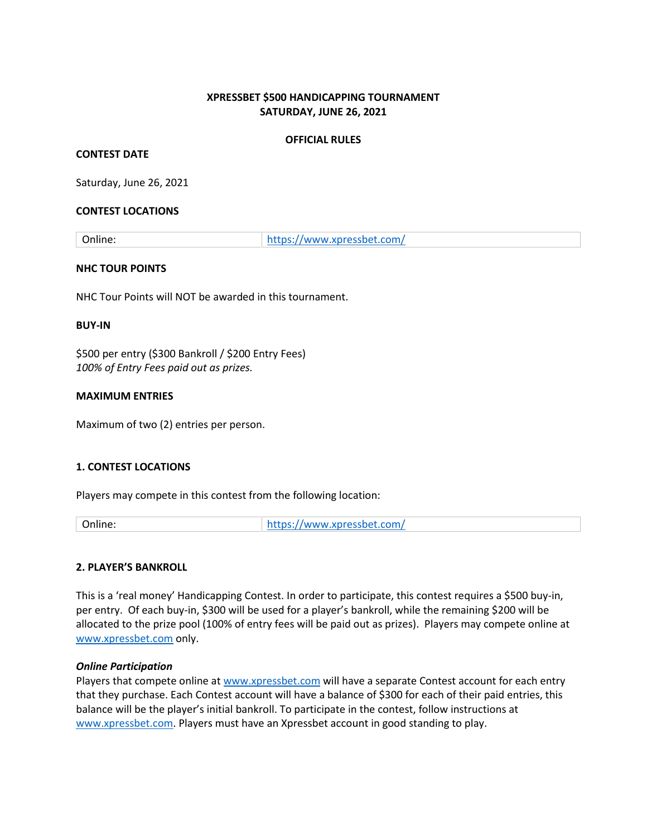## **XPRESSBET \$500 HANDICAPPING TOURNAMENT SATURDAY, JUNE 26, 2021**

## **OFFICIAL RULES**

### **CONTEST DATE**

Saturday, June 26, 2021

### **CONTEST LOCATIONS**

Online: <https://www.xpressbet.com/>

### **NHC TOUR POINTS**

NHC Tour Points will NOT be awarded in this tournament.

#### **BUY-IN**

\$500 per entry (\$300 Bankroll / \$200 Entry Fees) *100% of Entry Fees paid out as prizes.* 

### **MAXIMUM ENTRIES**

Maximum of two (2) entries per person.

## **1. CONTEST LOCATIONS**

Players may compete in this contest from the following location:

Online: <https://www.xpressbet.com/>

## **2. PLAYER'S BANKROLL**

This is a 'real money' Handicapping Contest. In order to participate, this contest requires a \$500 buy-in, per entry. Of each buy-in, \$300 will be used for a player's bankroll, while the remaining \$200 will be allocated to the prize pool (100% of entry fees will be paid out as prizes). Players may compete online at [www.xpressbet.com](http://www.xpressbet.com/) only.

#### *Online Participation*

Players that compete online at [www.xpressbet.com](http://www.xpressbet.com/) will have a separate Contest account for each entry that they purchase. Each Contest account will have a balance of \$300 for each of their paid entries, this balance will be the player's initial bankroll. To participate in the contest, follow instructions at [www.xpressbet.com.](http://www.xpressbet.com/) Players must have an Xpressbet account in good standing to play.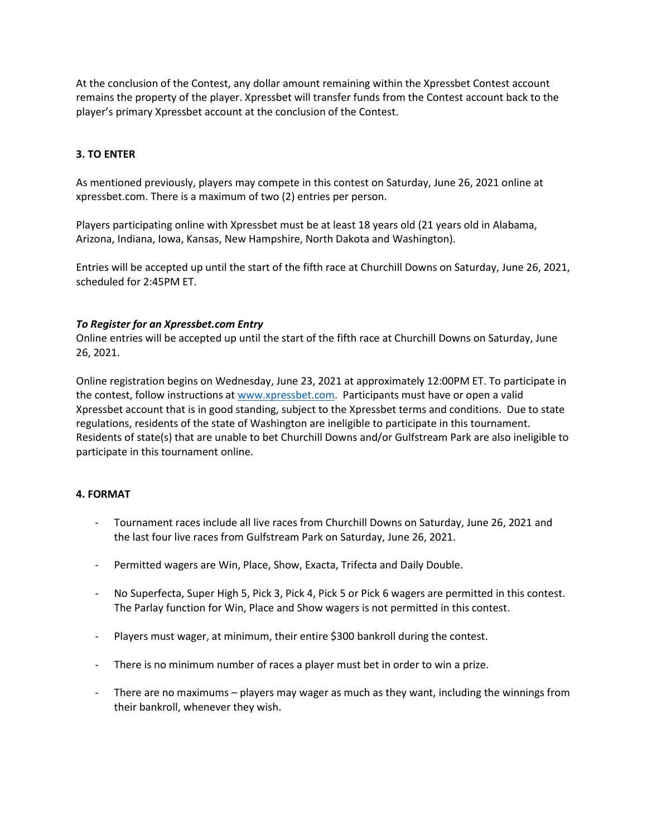At the conclusion of the Contest, any dollar amount remaining within the Xpressbet Contest account remains the property of the player. Xpressbet will transfer funds from the Contest account back to the player's primary Xpressbet account at the conclusion of the Contest.

## **3. TO ENTER**

As mentioned previously, players may compete in this contest on Saturday, June 26, 2021 online at xpressbet.com. There is a maximum of two (2) entries per person.

Players participating online with Xpressbet must be at least 18 years old (21 years old in Alabama, Arizona, Indiana, Iowa, Kansas, New Hampshire, North Dakota and Washington).

Entries will be accepted up until the start of the fifth race at Churchill Downs on Saturday, June 26, 2021, scheduled for 2:45PM ET.

## *To Register for an Xpressbet.com Entry*

Online entries will be accepted up until the start of the fifth race at Churchill Downs on Saturday, June 26, 2021.

Online registration begins on Wednesday, June 23, 2021 at approximately 12:00PM ET. To participate in the contest, follow instructions at [www.xpressbet.com.](http://www.xpressbet.com/) Participants must have or open a valid Xpressbet account that is in good standing, subject to the Xpressbet terms and conditions. Due to state regulations, residents of the state of Washington are ineligible to participate in this tournament. Residents of state(s) that are unable to bet Churchill Downs and/or Gulfstream Park are also ineligible to participate in this tournament online.

## **4. FORMAT**

- Tournament races include all live races from Churchill Downs on Saturday, June 26, 2021 and the last four live races from Gulfstream Park on Saturday, June 26, 2021.
- Permitted wagers are Win, Place, Show, Exacta, Trifecta and Daily Double.
- No Superfecta, Super High 5, Pick 3, Pick 4, Pick 5 or Pick 6 wagers are permitted in this contest. The Parlay function for Win, Place and Show wagers is not permitted in this contest.
- Players must wager, at minimum, their entire \$300 bankroll during the contest.
- There is no minimum number of races a player must bet in order to win a prize.
- There are no maximums players may wager as much as they want, including the winnings from their bankroll, whenever they wish.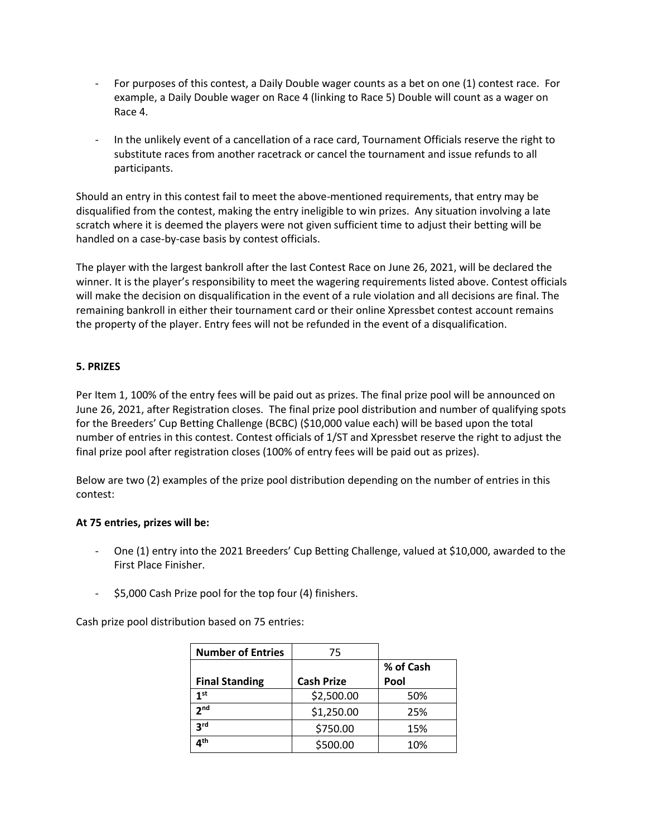- For purposes of this contest, a Daily Double wager counts as a bet on one (1) contest race. For example, a Daily Double wager on Race 4 (linking to Race 5) Double will count as a wager on Race 4.
- In the unlikely event of a cancellation of a race card, Tournament Officials reserve the right to substitute races from another racetrack or cancel the tournament and issue refunds to all participants.

Should an entry in this contest fail to meet the above-mentioned requirements, that entry may be disqualified from the contest, making the entry ineligible to win prizes. Any situation involving a late scratch where it is deemed the players were not given sufficient time to adjust their betting will be handled on a case-by-case basis by contest officials.

The player with the largest bankroll after the last Contest Race on June 26, 2021, will be declared the winner. It is the player's responsibility to meet the wagering requirements listed above. Contest officials will make the decision on disqualification in the event of a rule violation and all decisions are final. The remaining bankroll in either their tournament card or their online Xpressbet contest account remains the property of the player. Entry fees will not be refunded in the event of a disqualification.

# **5. PRIZES**

Per Item 1, 100% of the entry fees will be paid out as prizes. The final prize pool will be announced on June 26, 2021, after Registration closes. The final prize pool distribution and number of qualifying spots for the Breeders' Cup Betting Challenge (BCBC) (\$10,000 value each) will be based upon the total number of entries in this contest. Contest officials of 1/ST and Xpressbet reserve the right to adjust the final prize pool after registration closes (100% of entry fees will be paid out as prizes).

Below are two (2) examples of the prize pool distribution depending on the number of entries in this contest:

## **At 75 entries, prizes will be:**

- One (1) entry into the 2021 Breeders' Cup Betting Challenge, valued at \$10,000, awarded to the First Place Finisher.
- \$5,000 Cash Prize pool for the top four (4) finishers.

Cash prize pool distribution based on 75 entries:

| <b>Number of Entries</b> | 75                |           |
|--------------------------|-------------------|-----------|
|                          |                   | % of Cash |
| <b>Final Standing</b>    | <b>Cash Prize</b> | Pool      |
| 1 <sup>st</sup>          | \$2,500.00        | 50%       |
| 2 <sub>nd</sub>          | \$1,250.00        | 25%       |
| 3 <sup>rd</sup>          | \$750.00          | 15%       |
| ⊿th                      | \$500.00          | 10%       |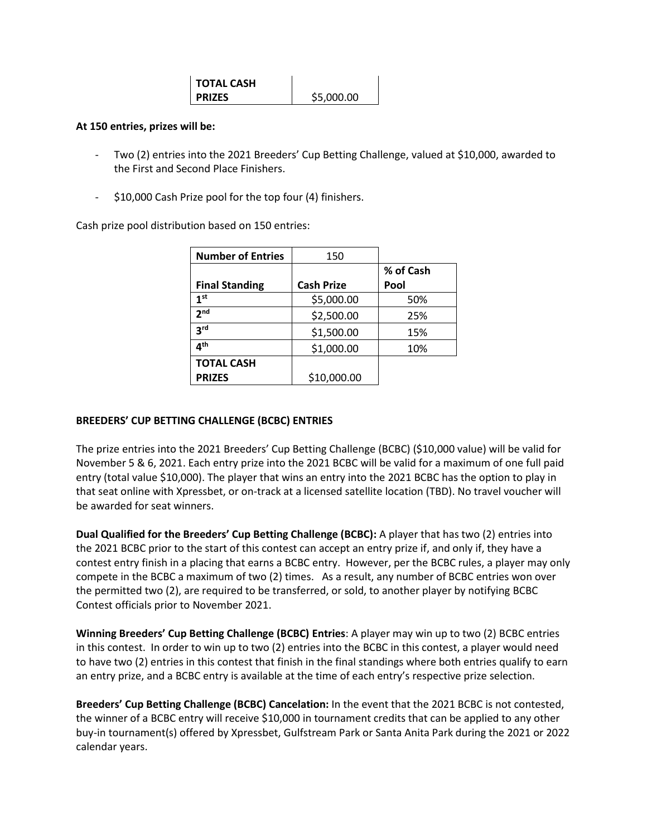| <b>TOTAL CASH</b> |            |
|-------------------|------------|
| <b>PRIZES</b>     | \$5,000.00 |

### **At 150 entries, prizes will be:**

- Two (2) entries into the 2021 Breeders' Cup Betting Challenge, valued at \$10,000, awarded to the First and Second Place Finishers.
- \$10,000 Cash Prize pool for the top four (4) finishers.

Cash prize pool distribution based on 150 entries:

| <b>Number of Entries</b> | 150               |           |
|--------------------------|-------------------|-----------|
|                          |                   | % of Cash |
| <b>Final Standing</b>    | <b>Cash Prize</b> | Pool      |
| 1 <sup>st</sup>          | \$5,000.00        | 50%       |
| 2 <sub>nd</sub>          | \$2,500.00        | 25%       |
| 3 <sup>rd</sup>          | \$1,500.00        | 15%       |
| ⊿th                      | \$1,000.00        | 10%       |
| <b>TOTAL CASH</b>        |                   |           |
| <b>PRIZES</b>            | \$10,000.00       |           |

## **BREEDERS' CUP BETTING CHALLENGE (BCBC) ENTRIES**

The prize entries into the 2021 Breeders' Cup Betting Challenge (BCBC) (\$10,000 value) will be valid for November 5 & 6, 2021. Each entry prize into the 2021 BCBC will be valid for a maximum of one full paid entry (total value \$10,000). The player that wins an entry into the 2021 BCBC has the option to play in that seat online with Xpressbet, or on-track at a licensed satellite location (TBD). No travel voucher will be awarded for seat winners.

**Dual Qualified for the Breeders' Cup Betting Challenge (BCBC):** A player that has two (2) entries into the 2021 BCBC prior to the start of this contest can accept an entry prize if, and only if, they have a contest entry finish in a placing that earns a BCBC entry. However, per the BCBC rules, a player may only compete in the BCBC a maximum of two (2) times. As a result, any number of BCBC entries won over the permitted two (2), are required to be transferred, or sold, to another player by notifying BCBC Contest officials prior to November 2021.

**Winning Breeders' Cup Betting Challenge (BCBC) Entries**: A player may win up to two (2) BCBC entries in this contest. In order to win up to two (2) entries into the BCBC in this contest, a player would need to have two (2) entries in this contest that finish in the final standings where both entries qualify to earn an entry prize, and a BCBC entry is available at the time of each entry's respective prize selection.

**Breeders' Cup Betting Challenge (BCBC) Cancelation:** In the event that the 2021 BCBC is not contested, the winner of a BCBC entry will receive \$10,000 in tournament credits that can be applied to any other buy-in tournament(s) offered by Xpressbet, Gulfstream Park or Santa Anita Park during the 2021 or 2022 calendar years.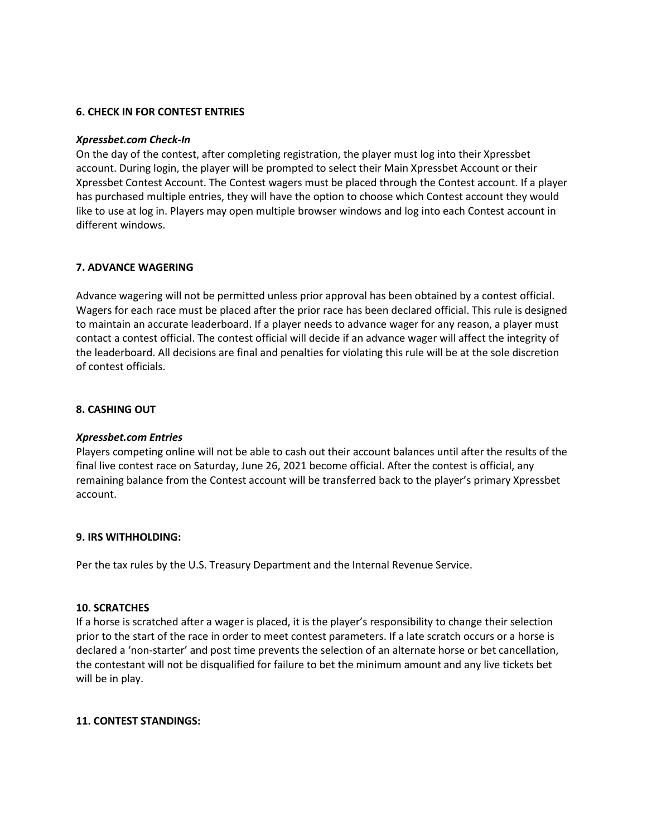### **6. CHECK IN FOR CONTEST ENTRIES**

#### *Xpressbet.com Check-In*

On the day of the contest, after completing registration, the player must log into their Xpressbet account. During login, the player will be prompted to select their Main Xpressbet Account or their Xpressbet Contest Account. The Contest wagers must be placed through the Contest account. If a player has purchased multiple entries, they will have the option to choose which Contest account they would like to use at log in. Players may open multiple browser windows and log into each Contest account in different windows.

#### **7. ADVANCE WAGERING**

Advance wagering will not be permitted unless prior approval has been obtained by a contest official. Wagers for each race must be placed after the prior race has been declared official. This rule is designed to maintain an accurate leaderboard. If a player needs to advance wager for any reason, a player must contact a contest official. The contest official will decide if an advance wager will affect the integrity of the leaderboard. All decisions are final and penalties for violating this rule will be at the sole discretion of contest officials.

#### **8. CASHING OUT**

#### *Xpressbet.com Entries*

Players competing online will not be able to cash out their account balances until after the results of the final live contest race on Saturday, June 26, 2021 become official. After the contest is official, any remaining balance from the Contest account will be transferred back to the player's primary Xpressbet account.

#### **9. IRS WITHHOLDING:**

Per the tax rules by the U.S. Treasury Department and the Internal Revenue Service.

#### **10. SCRATCHES**

If a horse is scratched after a wager is placed, it is the player's responsibility to change their selection prior to the start of the race in order to meet contest parameters. If a late scratch occurs or a horse is declared a 'non-starter' and post time prevents the selection of an alternate horse or bet cancellation, the contestant will not be disqualified for failure to bet the minimum amount and any live tickets bet will be in play.

#### **11. CONTEST STANDINGS:**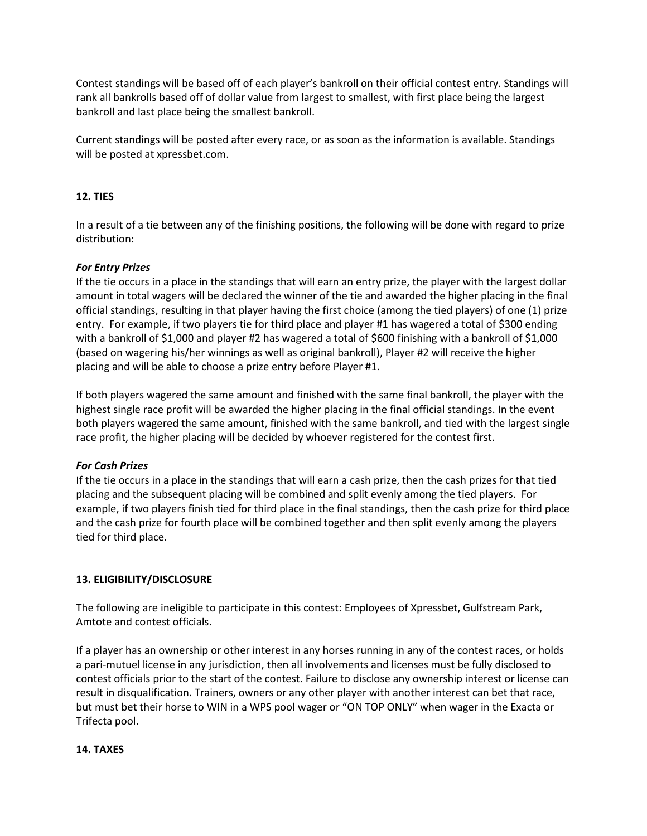Contest standings will be based off of each player's bankroll on their official contest entry. Standings will rank all bankrolls based off of dollar value from largest to smallest, with first place being the largest bankroll and last place being the smallest bankroll.

Current standings will be posted after every race, or as soon as the information is available. Standings will be posted at xpressbet.com.

# **12. TIES**

In a result of a tie between any of the finishing positions, the following will be done with regard to prize distribution:

# *For Entry Prizes*

If the tie occurs in a place in the standings that will earn an entry prize, the player with the largest dollar amount in total wagers will be declared the winner of the tie and awarded the higher placing in the final official standings, resulting in that player having the first choice (among the tied players) of one (1) prize entry. For example, if two players tie for third place and player #1 has wagered a total of \$300 ending with a bankroll of \$1,000 and player #2 has wagered a total of \$600 finishing with a bankroll of \$1,000 (based on wagering his/her winnings as well as original bankroll), Player #2 will receive the higher placing and will be able to choose a prize entry before Player #1.

If both players wagered the same amount and finished with the same final bankroll, the player with the highest single race profit will be awarded the higher placing in the final official standings. In the event both players wagered the same amount, finished with the same bankroll, and tied with the largest single race profit, the higher placing will be decided by whoever registered for the contest first.

# *For Cash Prizes*

If the tie occurs in a place in the standings that will earn a cash prize, then the cash prizes for that tied placing and the subsequent placing will be combined and split evenly among the tied players. For example, if two players finish tied for third place in the final standings, then the cash prize for third place and the cash prize for fourth place will be combined together and then split evenly among the players tied for third place.

# **13. ELIGIBILITY/DISCLOSURE**

The following are ineligible to participate in this contest: Employees of Xpressbet, Gulfstream Park, Amtote and contest officials.

If a player has an ownership or other interest in any horses running in any of the contest races, or holds a pari-mutuel license in any jurisdiction, then all involvements and licenses must be fully disclosed to contest officials prior to the start of the contest. Failure to disclose any ownership interest or license can result in disqualification. Trainers, owners or any other player with another interest can bet that race, but must bet their horse to WIN in a WPS pool wager or "ON TOP ONLY" when wager in the Exacta or Trifecta pool.

# **14. TAXES**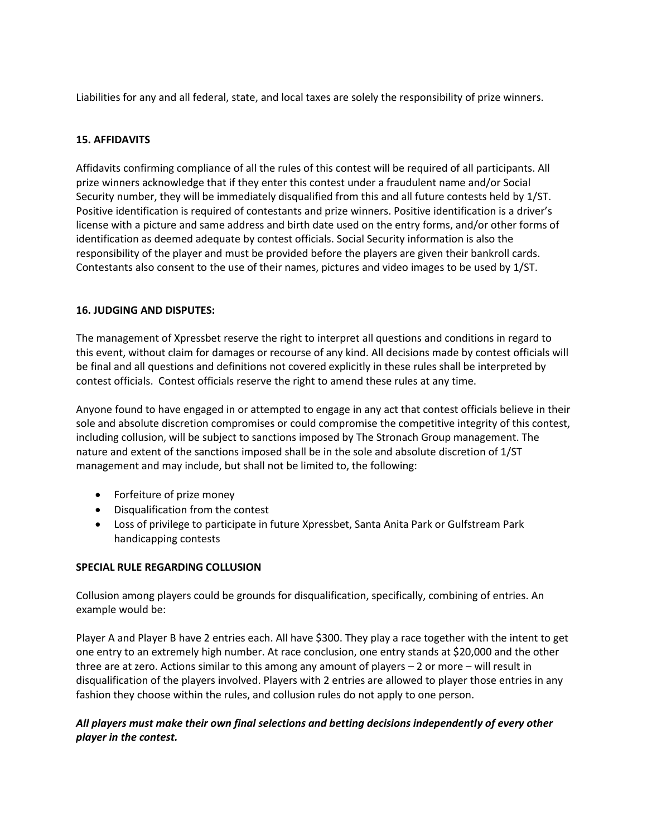Liabilities for any and all federal, state, and local taxes are solely the responsibility of prize winners.

# **15. AFFIDAVITS**

Affidavits confirming compliance of all the rules of this contest will be required of all participants. All prize winners acknowledge that if they enter this contest under a fraudulent name and/or Social Security number, they will be immediately disqualified from this and all future contests held by 1/ST. Positive identification is required of contestants and prize winners. Positive identification is a driver's license with a picture and same address and birth date used on the entry forms, and/or other forms of identification as deemed adequate by contest officials. Social Security information is also the responsibility of the player and must be provided before the players are given their bankroll cards. Contestants also consent to the use of their names, pictures and video images to be used by 1/ST.

## **16. JUDGING AND DISPUTES:**

The management of Xpressbet reserve the right to interpret all questions and conditions in regard to this event, without claim for damages or recourse of any kind. All decisions made by contest officials will be final and all questions and definitions not covered explicitly in these rules shall be interpreted by contest officials. Contest officials reserve the right to amend these rules at any time.

Anyone found to have engaged in or attempted to engage in any act that contest officials believe in their sole and absolute discretion compromises or could compromise the competitive integrity of this contest, including collusion, will be subject to sanctions imposed by The Stronach Group management. The nature and extent of the sanctions imposed shall be in the sole and absolute discretion of 1/ST management and may include, but shall not be limited to, the following:

- Forfeiture of prize money
- Disqualification from the contest
- Loss of privilege to participate in future Xpressbet, Santa Anita Park or Gulfstream Park handicapping contests

## **SPECIAL RULE REGARDING COLLUSION**

Collusion among players could be grounds for disqualification, specifically, combining of entries. An example would be:

Player A and Player B have 2 entries each. All have \$300. They play a race together with the intent to get one entry to an extremely high number. At race conclusion, one entry stands at \$20,000 and the other three are at zero. Actions similar to this among any amount of players – 2 or more – will result in disqualification of the players involved. Players with 2 entries are allowed to player those entries in any fashion they choose within the rules, and collusion rules do not apply to one person.

# *All players must make their own final selections and betting decisions independently of every other player in the contest.*